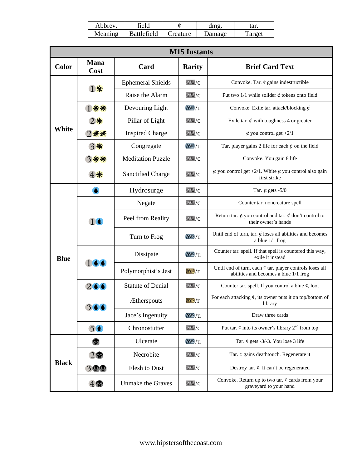| Abbrev. | field              |          | dme           | tar.    |
|---------|--------------------|----------|---------------|---------|
| Meaning | <b>Battlefield</b> | Creature | <b>Jamage</b> | l'arget |

 $\mathsf I$ 

| <b>M15</b> Instants |                     |                          |                                      |                                                                                                   |  |
|---------------------|---------------------|--------------------------|--------------------------------------|---------------------------------------------------------------------------------------------------|--|
| <b>Color</b>        | <b>Mana</b><br>Cost | Card                     | <b>Rarity</b>                        | <b>Brief Card Text</b>                                                                            |  |
| White               | 1※                  | <b>Ephemeral Shields</b> | $W_2$                                | Convoke. Tar. $\varphi$ gains indestructible                                                      |  |
|                     |                     | Raise the Alarm          | $W_2$                                | Put two 1/1 while solider $\phi$ tokens onto field                                                |  |
|                     | 1 ※※                | Devouring Light          | $W_2 / n$                            | Convoke. Exile tar. attack/blocking $\phi$                                                        |  |
|                     | 2賽                  | Pillar of Light          | $\overline{\text{NMS}}$ / $\text{C}$ | Exile tar. $\phi$ with toughness 4 or greater                                                     |  |
|                     | 2 赛赛                | <b>Inspired Charge</b>   | $W_2$                                | $\oint$ you control get +2/1                                                                      |  |
|                     | 3※                  | Congregate               | $W_2 / n$                            | Tar. player gains 2 life for each $\phi$ on the field                                             |  |
|                     | 3 ※※                | <b>Meditation Puzzle</b> | $W_0/c$                              | Convoke. You gain 8 life                                                                          |  |
|                     |                     | <b>Sanctified Charge</b> | $W_2$                                | $\phi$ you control get +2/1. White $\phi$ you control also gain<br>first strike                   |  |
| <b>Blue</b>         | $\bullet$           | Hydrosurge               | $\overline{\text{NMS}}$ /C           | Tar. $\phi$ gets -5/0                                                                             |  |
|                     | 16                  | Negate                   | $\mathbb{W}/c$                       | Counter tar. noncreature spell                                                                    |  |
|                     |                     | Peel from Reality        | $W_2$                                | Return tar. $\phi$ you control and tar. $\phi$ don't control to<br>their owner's hands            |  |
|                     |                     | Turn to Frog             | $W_2 / n$                            | Until end of turn, tar. $\phi$ loses all abilities and becomes<br>a blue $1/1$ frog               |  |
|                     | 166                 | Dissipate                | $W_2 / n$                            | Counter tar. spell. If that spell is countered this way,<br>exile it instead                      |  |
|                     |                     | Polymorphist's Jest      | M5/r                                 | Until end of turn, each ¢ tar. player controls loses all<br>abilities and becomes a blue 1/1 frog |  |
|                     | 266                 | <b>Statute of Denial</b> | W                                    | Counter tar. spell. If you control a blue $\varphi$ , loot                                        |  |
|                     |                     | <b>Ætherspouts</b>       | $\overline{\text{MS}}/\text{r}$      | For each attacking $\phi$ , its owner puts it on top/bottom of<br>library                         |  |
|                     |                     | Jace's Ingenuity         | M <sub>2</sub> /u                    | Draw three cards                                                                                  |  |
|                     | 5 <sub>6</sub>      | Chronostutter            | $W_0/c$                              | Put tar. $\phi$ into its owner's library $2^{nd}$ from top                                        |  |
|                     | Ф                   | Ulcerate                 | $M\lesssim /u$                       | Tar. $\phi$ gets -3/-3. You lose 3 life                                                           |  |
|                     | $2\Phi$             | Necrobite                | $\mathbb{W}/c$                       | Tar. $\phi$ gains deathtouch. Regenerate it                                                       |  |
| <b>Black</b>        | $3$ $\circ$ $\circ$ | Flesh to Dust            | $W_0/c$                              | Destroy tar. $\phi$ . It can't be regenerated                                                     |  |
|                     | 4                   | <b>Unmake the Graves</b> | $\overline{\mathbf{w}}$ /c           | Convoke. Return up to two tar. $\phi$ cards from your<br>graveyard to your hand                   |  |